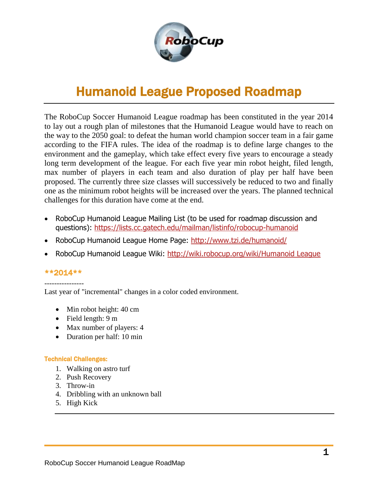

# Humanoid League Proposed Roadmap

The RoboCup Soccer Humanoid League roadmap has been constituted in the year 2014 to lay out a rough plan of milestones that the Humanoid League would have to reach on the way to the 2050 goal: to defeat the human world champion soccer team in a fair game according to the FIFA rules. The idea of the roadmap is to define large changes to the environment and the gameplay, which take effect every five years to encourage a steady long term development of the league. For each five year min robot height, filed length, max number of players in each team and also duration of play per half have been proposed. The currently three size classes will successively be reduced to two and finally one as the minimum robot heights will be increased over the years. The planned technical challenges for this duration have come at the end.

- RoboCup Humanoid League Mailing List (to be used for roadmap discussion and questions): <https://lists.cc.gatech.edu/mailman/listinfo/robocup-humanoid>
- RoboCup Humanoid League Home Page:<http://www.tzi.de/humanoid/>
- RoboCup Humanoid League Wiki: http://wiki.robocup.org/wiki/Humanoid League

# \*\*2014\*\*

---------------- Last year of "incremental" changes in a color coded environment.

- Min robot height: 40 cm
- $\bullet$  Field length: 9 m
- Max number of players: 4
- Duration per half: 10 min

# Technical Challenges:

- 1. Walking on astro turf
- 2. Push Recovery
- 3. Throw-in
- 4. Dribbling with an unknown ball
- 5. High Kick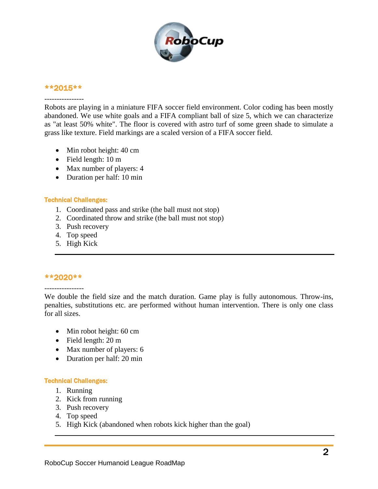

#### \*\*2015\*\*

#### ----------------

Robots are playing in a miniature FIFA soccer field environment. Color coding has been mostly abandoned. We use white goals and a FIFA compliant ball of size 5, which we can characterize as "at least 50% white". The floor is covered with astro turf of some green shade to simulate a grass like texture. Field markings are a scaled version of a FIFA soccer field.

- Min robot height: 40 cm
- Field length: 10 m
- Max number of players: 4
- Duration per half: 10 min

#### Technical Challenges:

- 1. Coordinated pass and strike (the ball must not stop)
- 2. Coordinated throw and strike (the ball must not stop)
- 3. Push recovery
- 4. Top speed
- 5. High Kick

### \*\*2020\*\*

# ----------------

We double the field size and the match duration. Game play is fully autonomous. Throw-ins, penalties, substitutions etc. are performed without human intervention. There is only one class for all sizes.

- Min robot height: 60 cm
- Field length: 20 m
- Max number of players: 6
- Duration per half: 20 min

#### Technical Challenges:

- 1. Running
- 2. Kick from running
- 3. Push recovery
- 4. Top speed
- 5. High Kick (abandoned when robots kick higher than the goal)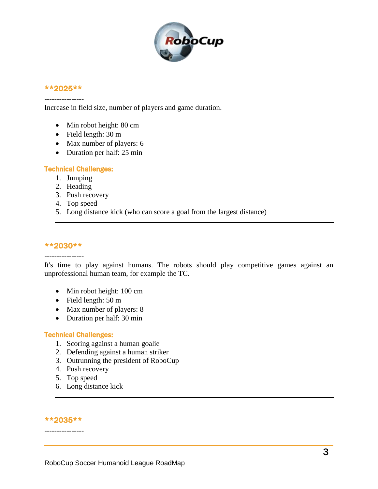

# \*\*2025\*\* ----------------

Increase in field size, number of players and game duration.

- Min robot height: 80 cm
- Field length: 30 m
- Max number of players: 6
- Duration per half: 25 min

## Technical Challenges:

- 1. Jumping
- 2. Heading
- 3. Push recovery
- 4. Top speed
- 5. Long distance kick (who can score a goal from the largest distance)

## \*\*2030\*\*

#### ----------------

It's time to play against humans. The robots should play competitive games against an unprofessional human team, for example the TC.

- Min robot height: 100 cm
- Field length: 50 m
- Max number of players: 8
- Duration per half: 30 min

### Technical Challenges:

- 1. Scoring against a human goalie
- 2. Defending against a human striker
- 3. Outrunning the president of RoboCup
- 4. Push recovery
- 5. Top speed
- 6. Long distance kick

# \*\*2035\*\* ----------------

#### RoboCup Soccer Humanoid League RoadMap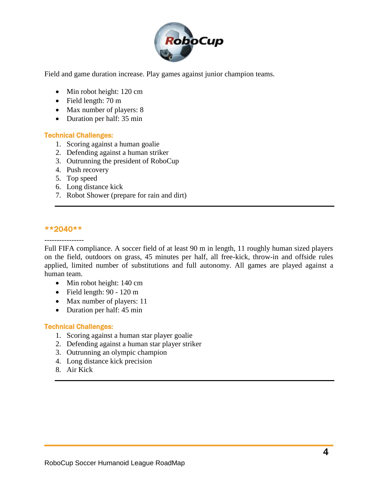

Field and game duration increase. Play games against junior champion teams.

- Min robot height: 120 cm
- Field length: 70 m
- Max number of players: 8
- Duration per half: 35 min

### Technical Challenges:

- 1. Scoring against a human goalie
- 2. Defending against a human striker
- 3. Outrunning the president of RoboCup
- 4. Push recovery
- 5. Top speed
- 6. Long distance kick
- 7. Robot Shower (prepare for rain and dirt)

### \*\*2040\*\*

----------------

Full FIFA compliance. A soccer field of at least 90 m in length, 11 roughly human sized players on the field, outdoors on grass, 45 minutes per half, all free-kick, throw-in and offside rules applied, limited number of substitutions and full autonomy. All games are played against a human team.

- Min robot height: 140 cm
- $\bullet$  Field length: 90 120 m
- Max number of players: 11
- Duration per half: 45 min

### Technical Challenges:

- 1. Scoring against a human star player goalie
- 2. Defending against a human star player striker
- 3. Outrunning an olympic champion
- 4. Long distance kick precision
- 8. Air Kick